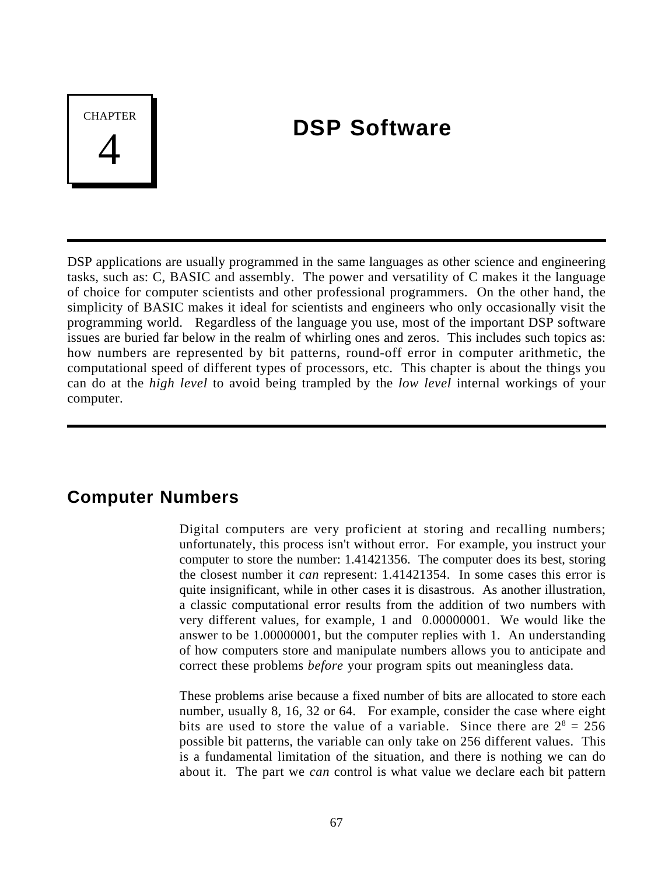# **CHAPTER** 4

## **DSP Software**

DSP applications are usually programmed in the same languages as other science and engineering tasks, such as: C, BASIC and assembly. The power and versatility of C makes it the language of choice for computer scientists and other professional programmers. On the other hand, the simplicity of BASIC makes it ideal for scientists and engineers who only occasionally visit the programming world. Regardless of the language you use, most of the important DSP software issues are buried far below in the realm of whirling ones and zeros. This includes such topics as: how numbers are represented by bit patterns, round-off error in computer arithmetic, the computational speed of different types of processors, etc. This chapter is about the things you can do at the *high level* to avoid being trampled by the *low level* internal workings of your computer.

## **Computer Numbers**

Digital computers are very proficient at storing and recalling numbers; unfortunately, this process isn't without error. For example, you instruct your computer to store the number: 1.41421356. The computer does its best, storing the closest number it *can* represent: 1.41421354. In some cases this error is quite insignificant, while in other cases it is disastrous. As another illustration, a classic computational error results from the addition of two numbers with very different values, for example, 1 and 0.00000001. We would like the answer to be 1.00000001, but the computer replies with 1. An understanding of how computers store and manipulate numbers allows you to anticipate and correct these problems *before* your program spits out meaningless data.

These problems arise because a fixed number of bits are allocated to store each number, usually 8, 16, 32 or 64. For example, consider the case where eight bits are used to store the value of a variable. Since there are  $2^8 = 256$ possible bit patterns, the variable can only take on 256 different values. This is a fundamental limitation of the situation, and there is nothing we can do about it. The part we *can* control is what value we declare each bit pattern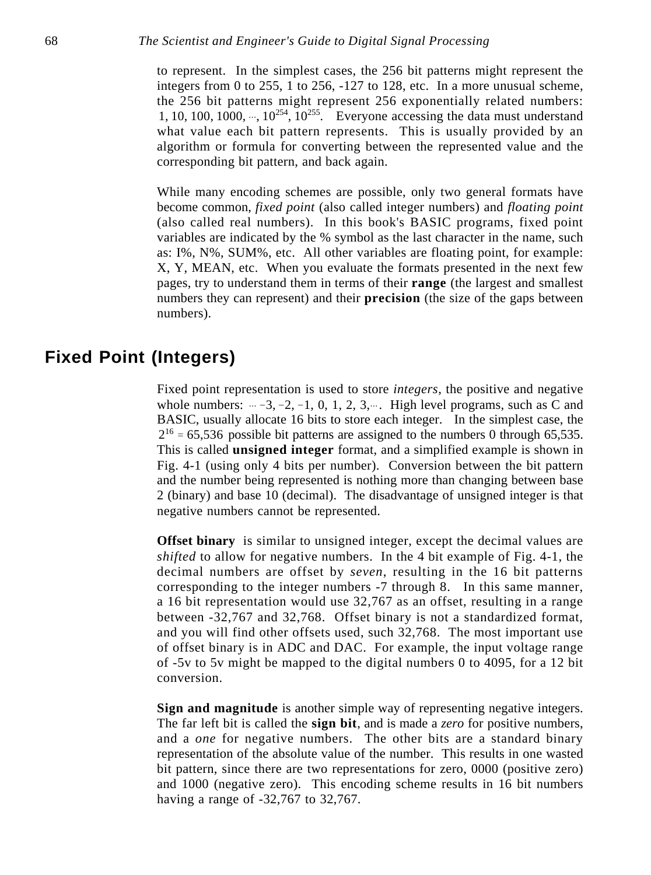to represent. In the simplest cases, the 256 bit patterns might represent the integers from 0 to 255, 1 to 256, -127 to 128, etc. In a more unusual scheme, the 256 bit patterns might represent 256 exponentially related numbers: 1, 10, 100, 1000,  $..., 10^{254}$ , 10<sup>255</sup>. Everyone accessing the data must understand what value each bit pattern represents. This is usually provided by an algorithm or formula for converting between the represented value and the corresponding bit pattern, and back again.

While many encoding schemes are possible, only two general formats have become common, *fixed point* (also called integer numbers) and *floating point* (also called real numbers). In this book's BASIC programs, fixed point variables are indicated by the % symbol as the last character in the name, such as: I%, N%, SUM%, etc. All other variables are floating point, for example: X, Y, MEAN, etc. When you evaluate the formats presented in the next few pages, try to understand them in terms of their **range** (the largest and smallest numbers they can represent) and their **precision** (the size of the gaps between numbers).

## **Fixed Point (Integers)**

Fixed point representation is used to store *integers*, the positive and negative whole numbers:  $-3, -2, -1, 0, 1, 2, 3, ...$ . High level programs, such as C and BASIC, usually allocate 16 bits to store each integer. In the simplest case, the  $2^{16}$  = 65,536 possible bit patterns are assigned to the numbers 0 through 65,535. This is called **unsigned integer** format, and a simplified example is shown in Fig. 4-1 (using only 4 bits per number). Conversion between the bit pattern and the number being represented is nothing more than changing between base 2 (binary) and base 10 (decimal). The disadvantage of unsigned integer is that negative numbers cannot be represented.

**Offset binary** is similar to unsigned integer, except the decimal values are *shifted* to allow for negative numbers. In the 4 bit example of Fig. 4-1, the decimal numbers are offset by *seven*, resulting in the 16 bit patterns corresponding to the integer numbers -7 through 8. In this same manner, a 16 bit representation would use 32,767 as an offset, resulting in a range between -32,767 and 32,768. Offset binary is not a standardized format, and you will find other offsets used, such 32,768. The most important use of offset binary is in ADC and DAC. For example, the input voltage range of -5v to 5v might be mapped to the digital numbers 0 to 4095, for a 12 bit conversion.

**Sign and magnitude** is another simple way of representing negative integers. The far left bit is called the **sign bit**, and is made a *zero* for positive numbers, and a *one* for negative numbers. The other bits are a standard binary representation of the absolute value of the number. This results in one wasted bit pattern, since there are two representations for zero, 0000 (positive zero) and 1000 (negative zero). This encoding scheme results in 16 bit numbers having a range of -32,767 to 32,767.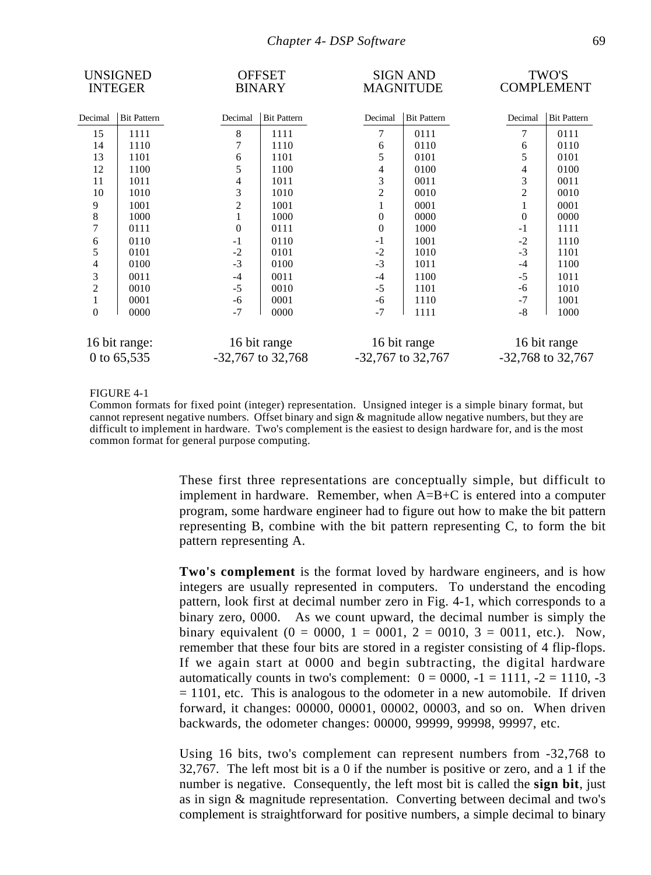|              | UNSIGNED<br><b>INTEGER</b>   |                | <b>OFFSET</b><br><b>BINARY</b>    |                  | <b>SIGN AND</b><br><b>MAGNITUDE</b> |                | TWO'S<br><b>COMPLEMENT</b>        |
|--------------|------------------------------|----------------|-----------------------------------|------------------|-------------------------------------|----------------|-----------------------------------|
| Decimal      | <b>Bit Pattern</b>           | Decimal        | <b>Bit Pattern</b>                | Decimal          | <b>Bit Pattern</b>                  | Decimal        | <b>Bit Pattern</b>                |
| 15           | 1111                         | 8              | 1111                              | 7                | 0111                                | 7              | 0111                              |
| 14           | 1110                         | 7              | 1110                              | 6                | 0110                                | 6              | 0110                              |
| 13           | 1101                         | 6              | 1101                              | 5                | 0101                                | 5              | 0101                              |
| 12           | 1100                         | 5              | 1100                              | 4                | 0100                                | 4              | 0100                              |
| 11           | 1011                         | 4              | 1011                              | 3                | 0011                                | 3              | 0011                              |
| 10           | 1010                         | 3              | 1010                              | $\overline{2}$   | 0010                                | $\overline{2}$ | 0010                              |
| 9            | 1001                         | 2              | 1001                              | 1                | 0001                                | 1              | 0001                              |
| 8            | 1000                         |                | 1000                              | $\boldsymbol{0}$ | 0000                                | $\theta$       | 0000                              |
| 7            | 0111                         | $\overline{0}$ | 0111                              | $\overline{0}$   | 1000                                | $-1$           | 1111                              |
| 6            | 0110                         | $-1$           | 0110                              | $-1$             | 1001                                | $-2$           | 1110                              |
| 5            | 0101                         | $-2$           | 0101                              | $-2$             | 1010                                | $-3$           | 1101                              |
| 4            | 0100                         | $-3$           | 0100                              | $-3$             | 1011                                | $-4$           | 1100                              |
| 3            | 0011                         | $-4$           | 0011                              | $-4$             | 1100                                | $-5$           | 1011                              |
| 2            | 0010                         | $-5$           | 0010                              | $-5$             | 1101                                | -6             | 1010                              |
| 1            | 0001                         | -6             | 0001                              | -6               | 1110                                | $-7$           | 1001                              |
| $\mathbf{0}$ | 0000                         | $-7$           | 0000                              | $-7$             | 1111                                | $-8$           | 1000                              |
|              | 16 bit range:<br>0 to 65,535 |                | 16 bit range<br>-32,767 to 32,768 |                  | 16 bit range<br>-32,767 to 32,767   |                | 16 bit range<br>-32,768 to 32,767 |

#### FIGURE 4-1

Common formats for fixed point (integer) representation. Unsigned integer is a simple binary format, but cannot represent negative numbers. Offset binary and sign & magnitude allow negative numbers, but they are difficult to implement in hardware. Two's complement is the easiest to design hardware for, and is the most common format for general purpose computing.

> These first three representations are conceptually simple, but difficult to implement in hardware. Remember, when A=B+C is entered into a computer program, some hardware engineer had to figure out how to make the bit pattern representing B, combine with the bit pattern representing C, to form the bit pattern representing A.

> **Two's complement** is the format loved by hardware engineers, and is how integers are usually represented in computers. To understand the encoding pattern, look first at decimal number zero in Fig. 4-1, which corresponds to a binary zero, 0000. As we count upward, the decimal number is simply the binary equivalent (0 = 0000, 1 = 0001, 2 = 0010, 3 = 0011, etc.). Now, remember that these four bits are stored in a register consisting of 4 flip-flops. If we again start at 0000 and begin subtracting, the digital hardware automatically counts in two's complement:  $0 = 0000$ ,  $-1 = 1111$ ,  $-2 = 1110$ ,  $-3$  $= 1101$ , etc. This is analogous to the odometer in a new automobile. If driven forward, it changes: 00000, 00001, 00002, 00003, and so on. When driven backwards, the odometer changes: 00000, 99999, 99998, 99997, etc.

> Using 16 bits, two's complement can represent numbers from -32,768 to 32,767. The left most bit is a 0 if the number is positive or zero, and a 1 if the number is negative. Consequently, the left most bit is called the **sign bit**, just as in sign & magnitude representation. Converting between decimal and two's complement is straightforward for positive numbers, a simple decimal to binary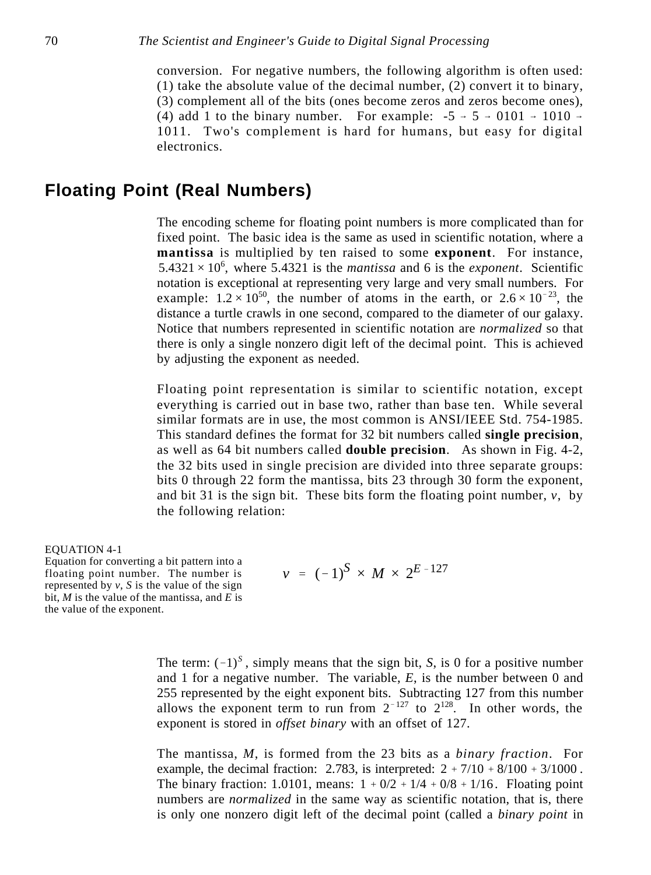conversion. For negative numbers, the following algorithm is often used: (1) take the absolute value of the decimal number, (2) convert it to binary, (3) complement all of the bits (ones become zeros and zeros become ones), (4) add 1 to the binary number. For example:  $-5 \rightarrow 5 \rightarrow 0101 \rightarrow 1010 \rightarrow$ 1011. Two's complement is hard for humans, but easy for digital electronics.

## **Floating Point (Real Numbers)**

The encoding scheme for floating point numbers is more complicated than for fixed point. The basic idea is the same as used in scientific notation, where a **mantissa** is multiplied by ten raised to some **exponent**. For instance,  $5.4321 \times 10^6$ , where 5.4321 is the *mantissa* and 6 is the *exponent*. Scientific notation is exceptional at representing very large and very small numbers. For example:  $1.2 \times 10^{50}$ , the number of atoms in the earth, or  $2.6 \times 10^{-23}$ , the distance a turtle crawls in one second, compared to the diameter of our galaxy. Notice that numbers represented in scientific notation are *normalized* so that there is only a single nonzero digit left of the decimal point. This is achieved by adjusting the exponent as needed.

Floating point representation is similar to scientific notation, except everything is carried out in base two, rather than base ten. While several similar formats are in use, the most common is ANSI/IEEE Std. 754-1985. This standard defines the format for 32 bit numbers called **single precision**, as well as 64 bit numbers called **double precision**. As shown in Fig. 4-2, the 32 bits used in single precision are divided into three separate groups: bits 0 through 22 form the mantissa, bits 23 through 30 form the exponent, and bit 31 is the sign bit. These bits form the floating point number, *v*, by the following relation:

EQUATION 4-1 Equation for converting a bit pattern into a floating point number. The number is represented by *v*, *S* is the value of the sign bit, *M* is the value of the mantissa, and *E* is the value of the exponent.

 $v = (-1)^S \times M \times 2^{E-127}$ 

The term:  $(-1)^S$ , simply means that the sign bit, *S*, is 0 for a positive number and 1 for a negative number. The variable, *E*, is the number between 0 and 255 represented by the eight exponent bits. Subtracting 127 from this number allows the exponent term to run from  $2^{-127}$  to  $2^{128}$ . In other words, the exponent is stored in *offset binary* with an offset of 127.

The mantissa, *M*, is formed from the 23 bits as a *binary fraction*. For example, the decimal fraction: 2.783, is interpreted:  $2 + 7/10 + 8/100 + 3/1000$ . The binary fraction: 1.0101, means:  $1 + 0/2 + 1/4 + 0/8 + 1/16$ . Floating point numbers are *normalized* in the same way as scientific notation, that is, there is only one nonzero digit left of the decimal point (called a *binary point* in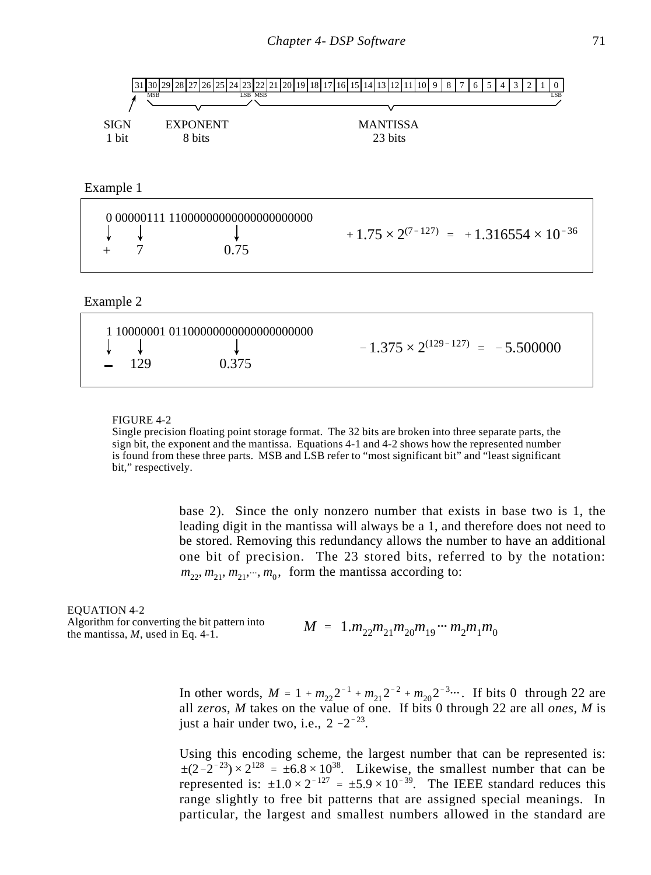

#### FIGURE 4-2

Single precision floating point storage format. The 32 bits are broken into three separate parts, the sign bit, the exponent and the mantissa. Equations 4-1 and 4-2 shows how the represented number is found from these three parts. MSB and LSB refer to "most significant bit" and "least significant bit," respectively.

> base 2). Since the only nonzero number that exists in base two is 1, the leading digit in the mantissa will always be a 1, and therefore does not need to be stored. Removing this redundancy allows the number to have an additional one bit of precision. The 23 stored bits, referred to by the notation:  $m_{22}, m_{21}, m_{21}, \dots, m_{02}$ , form the mantissa according to:

EQUATION 4-2 Algorithm for converting the bit pattern into Example mantissa, *M*, used in Eq. 4-1.  $\mu$ 

$$
1 = 1.m_{22}m_{21}m_{20}m_{19}\cdots m_{2}m_{1}m_{0}
$$

In other words,  $M = 1 + m_{22} 2^{-1} + m_{21} 2^{-2} + m_{20} 2^{-3} ...$  If bits 0 through 22 are all *zeros*, *M* takes on the value of one. If bits 0 through 22 are all *ones*, *M* is just a hair under two, i.e.,  $2 - 2^{-23}$ .

Using this encoding scheme, the largest number that can be represented is:  $\pm (2-2^{-23}) \times 2^{128} = \pm 6.8 \times 10^{38}$ . Likewise, the smallest number that can be represented is:  $\pm 1.0 \times 2^{-127} = \pm 5.9 \times 10^{-39}$ . The IEEE standard reduces this range slightly to free bit patterns that are assigned special meanings. In particular, the largest and smallest numbers allowed in the standard are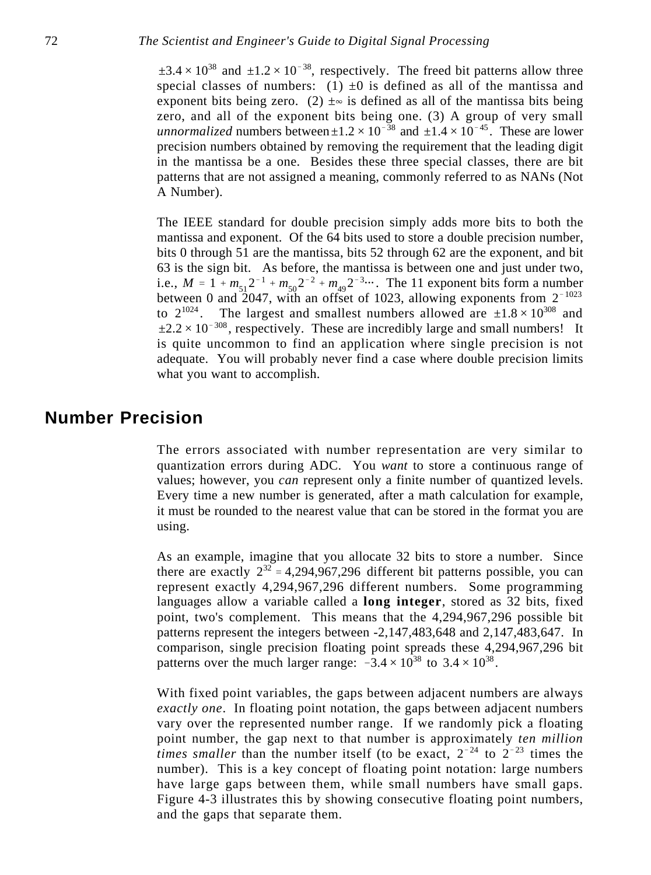$\pm 3.4 \times 10^{38}$  and  $\pm 1.2 \times 10^{-38}$ , respectively. The freed bit patterns allow three special classes of numbers: (1)  $\pm 0$  is defined as all of the mantissa and exponent bits being zero. (2)  $\pm \infty$  is defined as all of the mantissa bits being zero, and all of the exponent bits being one. (3) A group of very small *unnormalized* numbers between  $\pm 1.2 \times 10^{-38}$  and  $\pm 1.4 \times 10^{-45}$ . These are lower precision numbers obtained by removing the requirement that the leading digit in the mantissa be a one. Besides these three special classes, there are bit patterns that are not assigned a meaning, commonly referred to as NANs (Not A Number).

The IEEE standard for double precision simply adds more bits to both the mantissa and exponent. Of the 64 bits used to store a double precision number, bits 0 through 51 are the mantissa, bits 52 through 62 are the exponent, and bit 63 is the sign bit. As before, the mantissa is between one and just under two, i.e.,  $M = 1 + m_{51} 2^{-1} + m_{50} 2^{-2} + m_{49} 2^{-3} \cdots$ . The 11 exponent bits form a number between 0 and 2047, with an offset of 1023, allowing exponents from  $2^{-1023}$ to  $2^{1024}$ . The largest and smallest numbers allowed are  $\pm 1.8 \times 10^{308}$  and  $\pm 2.2 \times 10^{-308}$ , respectively. These are incredibly large and small numbers! It is quite uncommon to find an application where single precision is not adequate. You will probably never find a case where double precision limits what you want to accomplish.

## **Number Precision**

The errors associated with number representation are very similar to quantization errors during ADC. You *want* to store a continuous range of values; however, you *can* represent only a finite number of quantized levels. Every time a new number is generated, after a math calculation for example, it must be rounded to the nearest value that can be stored in the format you are using.

As an example, imagine that you allocate 32 bits to store a number. Since there are exactly  $2^{32} = 4,294,967,296$  different bit patterns possible, you can represent exactly 4,294,967,296 different numbers. Some programming languages allow a variable called a **long integer**, stored as 32 bits, fixed point, two's complement. This means that the 4,294,967,296 possible bit patterns represent the integers between -2,147,483,648 and 2,147,483,647. In comparison, single precision floating point spreads these 4,294,967,296 bit patterns over the much larger range:  $-3.4 \times 10^{38}$  to  $3.4 \times 10^{38}$ .

With fixed point variables, the gaps between adjacent numbers are always *exactly one*. In floating point notation, the gaps between adjacent numbers vary over the represented number range. If we randomly pick a floating point number, the gap next to that number is approximately *ten million times smaller* than the number itself (to be exact,  $2^{-24}$  to  $2^{-23}$  times the number). This is a key concept of floating point notation: large numbers have large gaps between them, while small numbers have small gaps. Figure 4-3 illustrates this by showing consecutive floating point numbers, and the gaps that separate them.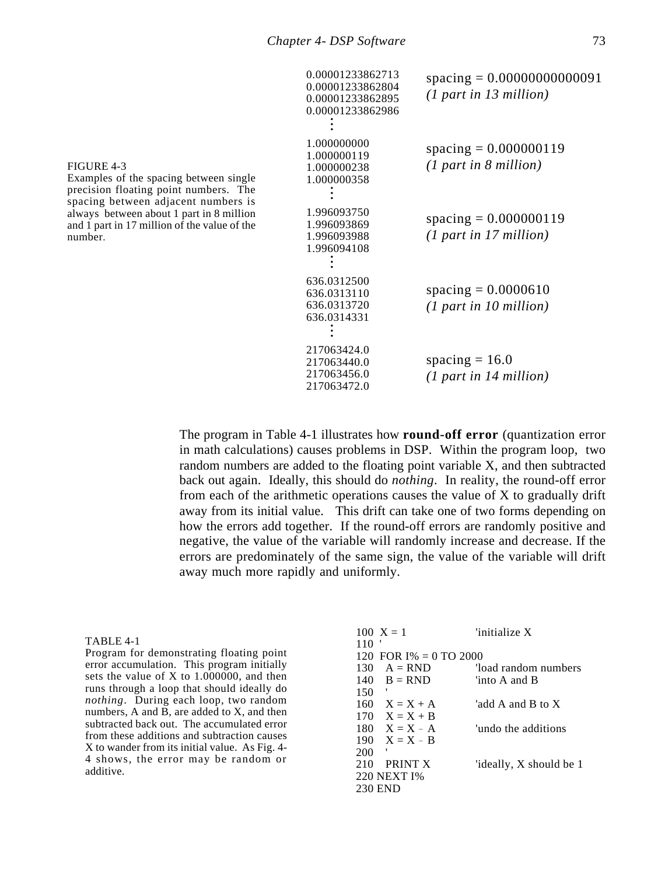|                                                                                                                                            | 0.00001233862713<br>0.00001233862804<br>0.00001233862895<br>0.00001233862986 | spacing = $0.0000000000091$<br>$(1$ part in 13 million) |
|--------------------------------------------------------------------------------------------------------------------------------------------|------------------------------------------------------------------------------|---------------------------------------------------------|
| FIGURE 4-3<br>Examples of the spacing between single<br>precision floating point numbers. The                                              | 1.000000000<br>1.000000119<br>1.000000238<br>1.000000358                     | spacing = $0.000000119$<br>$(1$ part in 8 million)      |
| spacing between adjacent numbers is<br>always between about 1 part in 8 million<br>and 1 part in 17 million of the value of the<br>number. | 1.996093750<br>1.996093869<br>1.996093988<br>1.996094108                     | spacing = $0.000000119$<br>$(1$ part in 17 million)     |
|                                                                                                                                            | 636.0312500<br>636.0313110<br>636.0313720<br>636.0314331                     | spacing = $0.0000610$<br>$(1$ part in 10 million)       |
|                                                                                                                                            | 217063424.0<br>217063440.0<br>217063456.0<br>217063472.0                     | spacing $= 16.0$<br>$(1$ part in 14 million)            |

The program in Table 4-1 illustrates how **round-off error** (quantization error in math calculations) causes problems in DSP. Within the program loop, two random numbers are added to the floating point variable X, and then subtracted back out again. Ideally, this should do *nothing*. In reality, the round-off error from each of the arithmetic operations causes the value of X to gradually drift away from its initial value. This drift can take one of two forms depending on how the errors add together. If the round-off errors are randomly positive and negative, the value of the variable will randomly increase and decrease. If the errors are predominately of the same sign, the value of the variable will drift away much more rapidly and uniformly.

TABLE 4-1

Program for demonstrating floating point error accumulation. This program initially sets the value of X to 1.000000, and then runs through a loop that should ideally do *nothing*. During each loop, two random numbers,  $A$  and  $\overline{B}$ , are added to  $X$ , and then subtracted back out. The accumulated error from these additions and subtraction causes X to wander from its initial value. As Fig. 4- 4 shows, the error may be random or additive.

| $100 \text{ X} = 1$      | 'initialize X           |
|--------------------------|-------------------------|
| 110                      |                         |
| 120 FOR $I% = 0$ TO 2000 |                         |
| 130<br>$A = RND$         | 'load random numbers    |
| $140 \text{ } B = RND$   | 'into A and B           |
| 150                      |                         |
| $160 \t X = X + A$       | 'add A and B to X       |
| 170 $X = X + B$          |                         |
| 180 $X = X - A$          | 'undo the additions     |
| 190 $X = X - B$          |                         |
| ٠<br>200                 |                         |
| PRINT X<br>210           | 'ideally, X should be 1 |
| 220 NEXT 1%              |                         |
| 230 END                  |                         |
|                          |                         |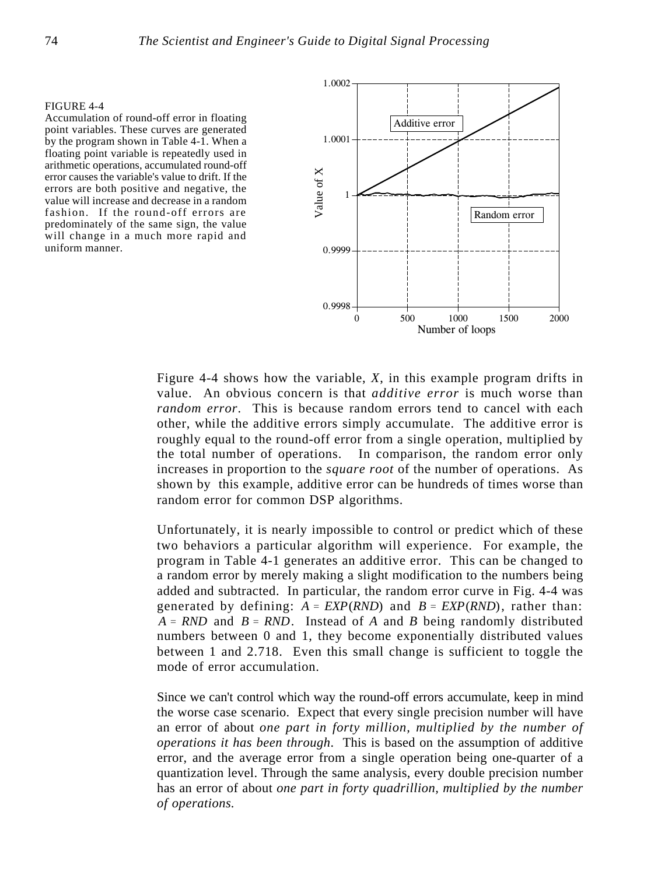#### FIGURE 4-4

Accumulation of round-off error in floating point variables. These curves are generated by the program shown in Table 4-1. When a floating point variable is repeatedly used in arithmetic operations, accumulated round-off error causes the variable's value to drift. If the errors are both positive and negative, the value will increase and decrease in a random fashion. If the round-off errors are predominately of the same sign, the value will change in a much more rapid and uniform manner.



Figure 4-4 shows how the variable, *X*, in this example program drifts in value. An obvious concern is that *additive error* is much worse than *random error*. This is because random errors tend to cancel with each other, while the additive errors simply accumulate. The additive error is roughly equal to the round-off error from a single operation, multiplied by the total number of operations. In comparison, the random error only increases in proportion to the *square root* of the number of operations. As shown by this example, additive error can be hundreds of times worse than random error for common DSP algorithms.

Unfortunately, it is nearly impossible to control or predict which of these two behaviors a particular algorithm will experience. For example, the program in Table 4-1 generates an additive error. This can be changed to a random error by merely making a slight modification to the numbers being added and subtracted. In particular, the random error curve in Fig. 4-4 was generated by defining:  $A = EXP(RND)$  and  $B = EXP(RND)$ , rather than:  $A = RND$  and  $B = RND$ . Instead of *A* and *B* being randomly distributed numbers between 0 and 1, they become exponentially distributed values between 1 and 2.718. Even this small change is sufficient to toggle the mode of error accumulation.

Since we can't control which way the round-off errors accumulate, keep in mind the worse case scenario. Expect that every single precision number will have an error of about *one part in forty million, multiplied by the number of operations it has been through*. This is based on the assumption of additive error, and the average error from a single operation being one-quarter of a quantization level. Through the same analysis, every double precision number has an error of about *one part in forty quadrillion, multiplied by the number of operations.*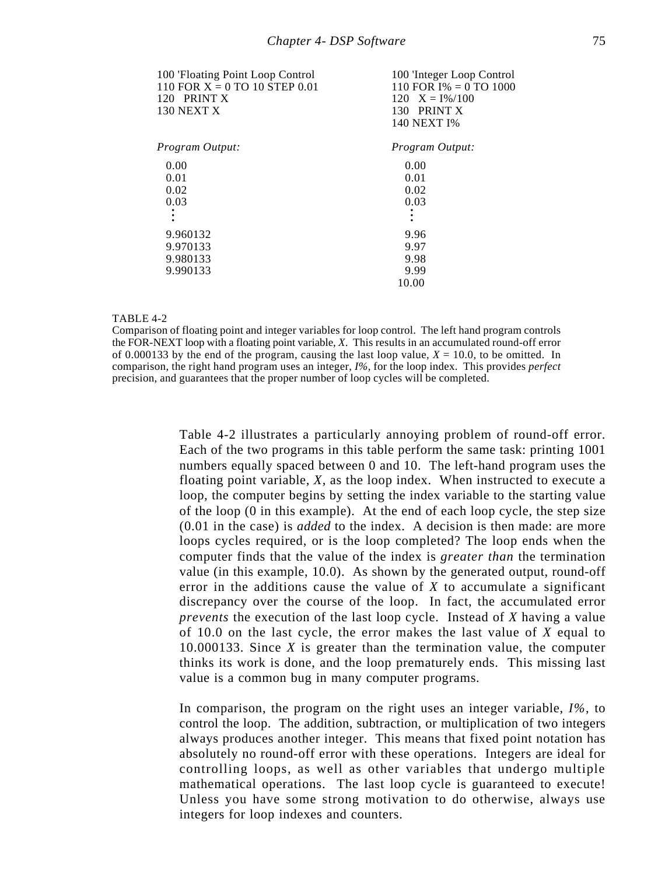| 100 'Floating Point Loop Control | 100 'Integer Loop Control |
|----------------------------------|---------------------------|
| 110 FOR $X = 0$ TO 10 STEP 0.01  | 110 FOR $I% = 0$ TO 1000  |
| 120 PRINT X                      | $120 \text{ X} = 1\%/100$ |
| <b>130 NEXT X</b>                | 130 PRINT X               |
|                                  | <b>140 NEXT I%</b>        |
| Program Output:                  | Program Output:           |
| 0.00                             | 0.00                      |
| 0.01                             | 0.01                      |
| 0.02                             | 0.02                      |
| 0.03                             | 0.03                      |
|                                  |                           |
|                                  |                           |
| 9.960132                         | 9.96                      |
| 9.970133                         | 9.97                      |
| 9.980133                         | 9.98                      |
| 9.990133                         | 9.99                      |
|                                  | 10.00                     |
|                                  |                           |

#### TABLE 4-2

Comparison of floating point and integer variables for loop control. The left hand program controls the FOR-NEXT loop with a floating point variable, *X*. This results in an accumulated round-off error of 0.000133 by the end of the program, causing the last loop value,  $X = 10.0$ , to be omitted. In comparison, the right hand program uses an integer, *I%*, for the loop index. This provides *perfect* precision, and guarantees that the proper number of loop cycles will be completed.

> Table 4-2 illustrates a particularly annoying problem of round-off error. Each of the two programs in this table perform the same task: printing 1001 numbers equally spaced between 0 and 10. The left-hand program uses the floating point variable, *X*, as the loop index. When instructed to execute a loop, the computer begins by setting the index variable to the starting value of the loop (0 in this example). At the end of each loop cycle, the step size (0.01 in the case) is *added* to the index. A decision is then made: are more loops cycles required, or is the loop completed? The loop ends when the computer finds that the value of the index is *greater than* the termination value (in this example, 10.0). As shown by the generated output, round-off error in the additions cause the value of *X* to accumulate a significant discrepancy over the course of the loop. In fact, the accumulated error *prevents* the execution of the last loop cycle. Instead of *X* having a value of 10.0 on the last cycle, the error makes the last value of *X* equal to 10.000133. Since *X* is greater than the termination value, the computer thinks its work is done, and the loop prematurely ends. This missing last value is a common bug in many computer programs.

> In comparison, the program on the right uses an integer variable, *I%*, to control the loop. The addition, subtraction, or multiplication of two integers always produces another integer. This means that fixed point notation has absolutely no round-off error with these operations. Integers are ideal for controlling loops, as well as other variables that undergo multiple mathematical operations. The last loop cycle is guaranteed to execute! Unless you have some strong motivation to do otherwise, always use integers for loop indexes and counters.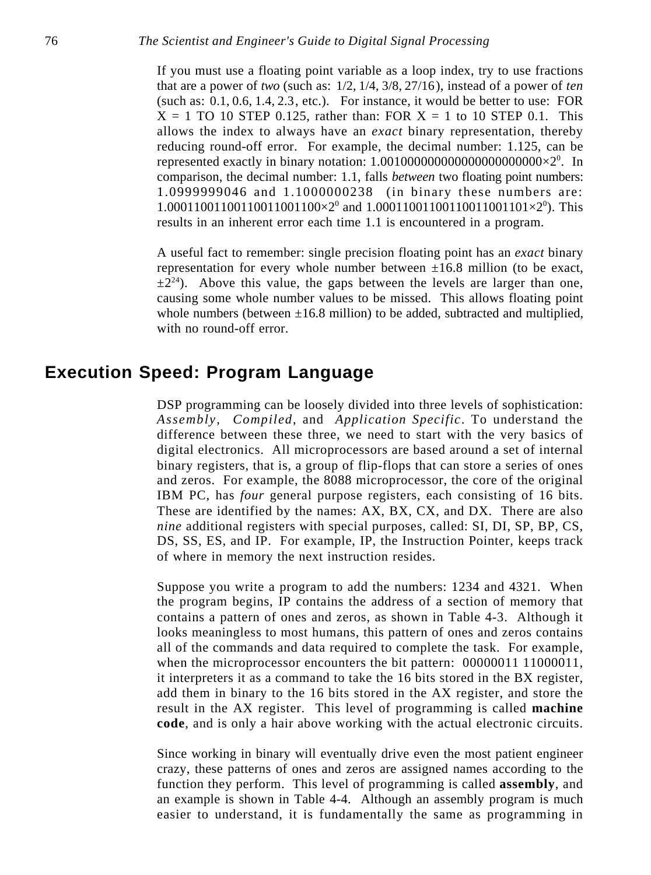If you must use a floating point variable as a loop index, try to use fractions that are a power of *two* (such as: 1/2, 1/4, 3/8, 27/16), instead of a power of *ten* (such as:  $0.1, 0.6, 1.4, 2.3$ , etc.). For instance, it would be better to use: FOR  $X = 1$  TO 10 STEP 0.125, rather than: FOR  $X = 1$  to 10 STEP 0.1. This allows the index to always have an *exact* binary representation, thereby reducing round-off error. For example, the decimal number: 1.125, can be represented exactly in binary notation: 1.0010000000000000000000000000000 X2<sup>0</sup>. In comparison, the decimal number: 1.1, falls *between* two floating point numbers: 1.0999999046 and 1.1000000238 (in binary these numbers are: 1.0001100110011001100 $\times$ 2<sup>0</sup> and 1.00011001100110011001101×2<sup>0</sup>). This results in an inherent error each time 1.1 is encountered in a program.

A useful fact to remember: single precision floating point has an *exact* binary representation for every whole number between  $\pm 16.8$  million (to be exact,  $\pm 2^{24}$ ). Above this value, the gaps between the levels are larger than one, causing some whole number values to be missed. This allows floating point whole numbers (between  $\pm 16.8$  million) to be added, subtracted and multiplied, with no round-off error.

## **Execution Speed: Program Language**

DSP programming can be loosely divided into three levels of sophistication: *Assembly*, *Compiled*, and *Application Specific*. To understand the difference between these three, we need to start with the very basics of digital electronics. All microprocessors are based around a set of internal binary registers, that is, a group of flip-flops that can store a series of ones and zeros. For example, the 8088 microprocessor, the core of the original IBM PC, has *four* general purpose registers, each consisting of 16 bits. These are identified by the names: AX, BX, CX, and DX. There are also *nine* additional registers with special purposes, called: SI, DI, SP, BP, CS, DS, SS, ES, and IP. For example, IP, the Instruction Pointer, keeps track of where in memory the next instruction resides.

Suppose you write a program to add the numbers: 1234 and 4321. When the program begins, IP contains the address of a section of memory that contains a pattern of ones and zeros, as shown in Table 4-3. Although it looks meaningless to most humans, this pattern of ones and zeros contains all of the commands and data required to complete the task. For example, when the microprocessor encounters the bit pattern:  $00000011$  11000011, it interpreters it as a command to take the 16 bits stored in the BX register, add them in binary to the 16 bits stored in the AX register, and store the result in the AX register. This level of programming is called **machine code**, and is only a hair above working with the actual electronic circuits.

Since working in binary will eventually drive even the most patient engineer crazy, these patterns of ones and zeros are assigned names according to the function they perform. This level of programming is called **assembly**, and an example is shown in Table 4-4. Although an assembly program is much easier to understand, it is fundamentally the same as programming in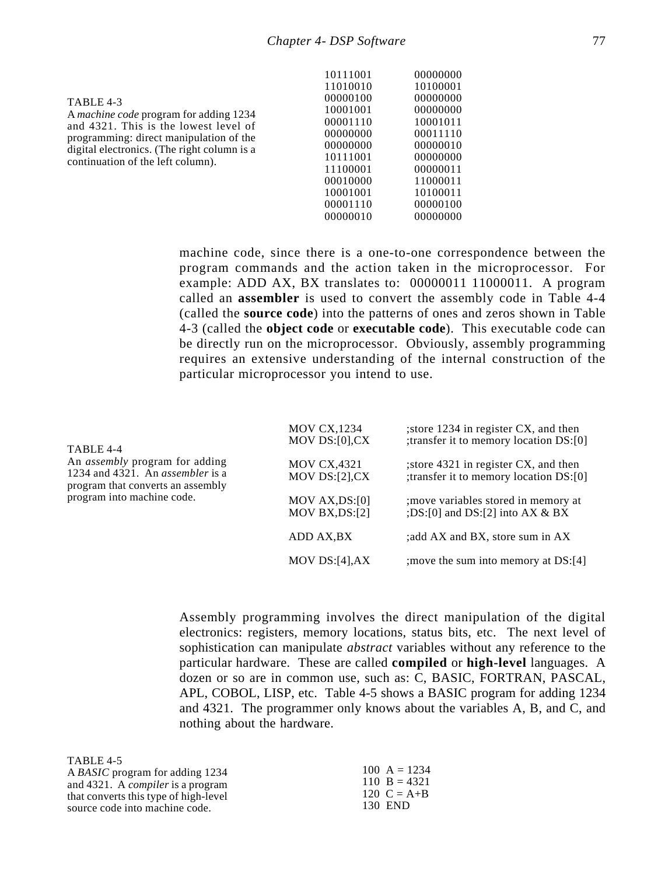| `ABLE |  |
|-------|--|
|-------|--|

A *machine code* program for adding 1234 and 4321. This is the lowest level of programming: direct manipulation of the digital electronics. (The right column is a continuation of the left column).

| 10111001 | 00000000 |
|----------|----------|
| 11010010 | 10100001 |
| 00000100 | 00000000 |
| 10001001 | 00000000 |
| 00001110 | 10001011 |
| 00000000 | 00011110 |
| 00000000 | 00000010 |
| 10111001 | 00000000 |
| 11100001 | 00000011 |
| 00010000 | 11000011 |
| 10001001 | 10100011 |
| 00001110 | 00000100 |
| 00000010 | 00000000 |
|          |          |

machine code, since there is a one-to-one correspondence between the program commands and the action taken in the microprocessor. For example: ADD AX, BX translates to: 00000011 11000011. A program called an **assembler** is used to convert the assembly code in Table 4-4 (called the **source code**) into the patterns of ones and zeros shown in Table 4-3 (called the **object code** or **executable code**). This executable code can be directly run on the microprocessor. Obviously, assembly programming requires an extensive understanding of the internal construction of the particular microprocessor you intend to use.

| TABLE 4-4                                                                                                             | <b>MOV CX, 1234</b><br>$MOVDS:[0]$ , $CX$ | ; store 1234 in register $CX$ , and then<br>; transfer it to memory location DS:[0] |
|-----------------------------------------------------------------------------------------------------------------------|-------------------------------------------|-------------------------------------------------------------------------------------|
| An <i>assembly</i> program for adding<br>1234 and 4321. An <i>assembler</i> is a<br>program that converts an assembly | <b>MOV CX,4321</b><br>MOV $DS:[2]$ , $CX$ | ; store $4321$ in register CX, and then<br>transfer it to memory location DS:[0]    |
| program into machine code.                                                                                            | MOV AX, DS: [0]<br>MOV BX, DS: [2]        | ; move variables stored in memory at<br>:DS:[0] and DS:[2] into AX & BX             |
|                                                                                                                       | ADD AX, BX                                | add AX and BX, store sum in AX                                                      |
|                                                                                                                       | MOV $DS:[4]$ , $AX$                       | : move the sum into memory at DS:[4]                                                |

Assembly programming involves the direct manipulation of the digital electronics: registers, memory locations, status bits, etc. The next level of sophistication can manipulate *abstract* variables without any reference to the particular hardware. These are called **compiled** or **high-level** languages. A dozen or so are in common use, such as: C, BASIC, FORTRAN, PASCAL, APL, COBOL, LISP, etc. Table 4-5 shows a BASIC program for adding 1234 and 4321. The programmer only knows about the variables A, B, and C, and nothing about the hardware.

| TABLE 4-5                                |               |
|------------------------------------------|---------------|
| A BASIC program for adding 1234          | 100 A = 1234  |
| and 4321. A <i>compiler</i> is a program | 110 B = 4321  |
| that converts this type of high-level    | 120 $C = A+B$ |
| source code into machine code.           | 130 END       |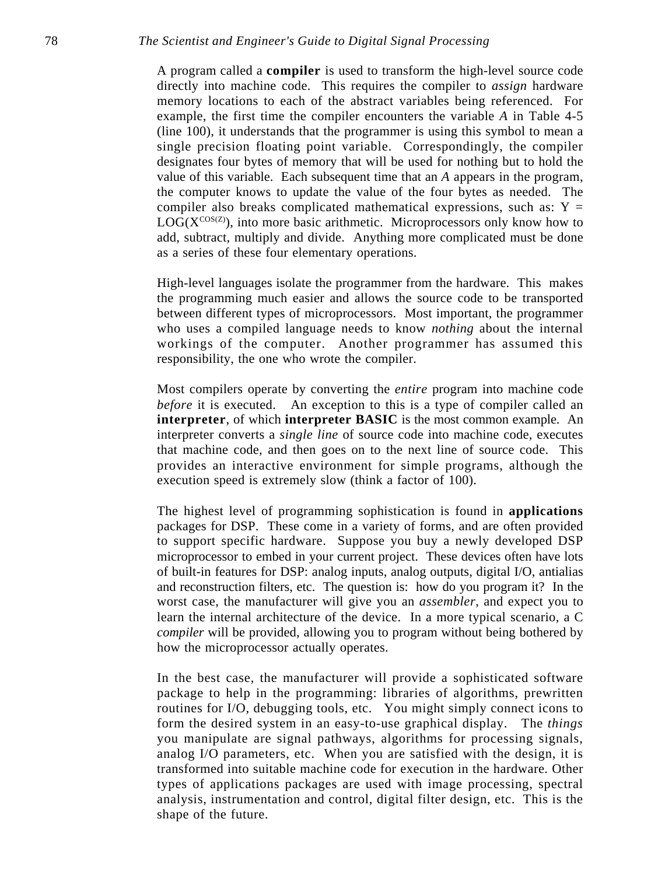A program called a **compiler** is used to transform the high-level source code directly into machine code. This requires the compiler to *assign* hardware memory locations to each of the abstract variables being referenced. For example, the first time the compiler encounters the variable *A* in Table 4-5 (line 100), it understands that the programmer is using this symbol to mean a single precision floating point variable. Correspondingly, the compiler designates four bytes of memory that will be used for nothing but to hold the value of this variable. Each subsequent time that an *A* appears in the program, the computer knows to update the value of the four bytes as needed. The compiler also breaks complicated mathematical expressions, such as:  $Y =$  $LOG(X^{COS(Z)})$ , into more basic arithmetic. Microprocessors only know how to add, subtract, multiply and divide. Anything more complicated must be done as a series of these four elementary operations.

High-level languages isolate the programmer from the hardware. This makes the programming much easier and allows the source code to be transported between different types of microprocessors. Most important, the programmer who uses a compiled language needs to know *nothing* about the internal workings of the computer. Another programmer has assumed this responsibility, the one who wrote the compiler.

Most compilers operate by converting the *entire* program into machine code *before* it is executed. An exception to this is a type of compiler called an **interpreter**, of which **interpreter BASIC** is the most common example. An interpreter converts a *single line* of source code into machine code, executes that machine code, and then goes on to the next line of source code. This provides an interactive environment for simple programs, although the execution speed is extremely slow (think a factor of 100).

The highest level of programming sophistication is found in **applications** packages for DSP. These come in a variety of forms, and are often provided to support specific hardware. Suppose you buy a newly developed DSP microprocessor to embed in your current project. These devices often have lots of built-in features for DSP: analog inputs, analog outputs, digital I/O, antialias and reconstruction filters, etc. The question is: how do you program it? In the worst case, the manufacturer will give you an *assembler*, and expect you to learn the internal architecture of the device. In a more typical scenario, a C *compiler* will be provided, allowing you to program without being bothered by how the microprocessor actually operates.

In the best case, the manufacturer will provide a sophisticated software package to help in the programming: libraries of algorithms, prewritten routines for I/O, debugging tools, etc. You might simply connect icons to form the desired system in an easy-to-use graphical display. The *things* you manipulate are signal pathways, algorithms for processing signals, analog I/O parameters, etc. When you are satisfied with the design, it is transformed into suitable machine code for execution in the hardware. Other types of applications packages are used with image processing, spectral analysis, instrumentation and control, digital filter design, etc. This is the shape of the future.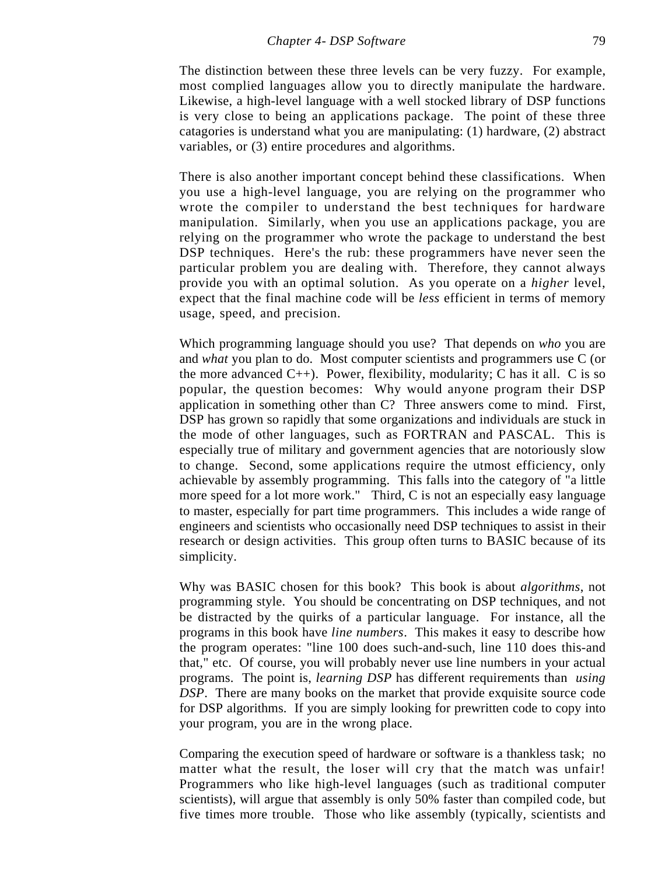The distinction between these three levels can be very fuzzy. For example, most complied languages allow you to directly manipulate the hardware. Likewise, a high-level language with a well stocked library of DSP functions is very close to being an applications package. The point of these three catagories is understand what you are manipulating: (1) hardware, (2) abstract variables, or (3) entire procedures and algorithms.

There is also another important concept behind these classifications. When you use a high-level language, you are relying on the programmer who wrote the compiler to understand the best techniques for hardware manipulation. Similarly, when you use an applications package, you are relying on the programmer who wrote the package to understand the best DSP techniques. Here's the rub: these programmers have never seen the particular problem you are dealing with. Therefore, they cannot always provide you with an optimal solution. As you operate on a *higher* level, expect that the final machine code will be *less* efficient in terms of memory usage, speed, and precision.

Which programming language should you use? That depends on *who* you are and *what* you plan to do. Most computer scientists and programmers use C (or the more advanced  $C_{++}$ ). Power, flexibility, modularity; C has it all. C is so popular, the question becomes: Why would anyone program their DSP application in something other than C? Three answers come to mind. First, DSP has grown so rapidly that some organizations and individuals are stuck in the mode of other languages, such as FORTRAN and PASCAL. This is especially true of military and government agencies that are notoriously slow to change. Second, some applications require the utmost efficiency, only achievable by assembly programming. This falls into the category of "a little more speed for a lot more work." Third, C is not an especially easy language to master, especially for part time programmers. This includes a wide range of engineers and scientists who occasionally need DSP techniques to assist in their research or design activities. This group often turns to BASIC because of its simplicity.

Why was BASIC chosen for this book? This book is about *algorithms*, not programming style. You should be concentrating on DSP techniques, and not be distracted by the quirks of a particular language. For instance, all the programs in this book have *line numbers*. This makes it easy to describe how the program operates: "line 100 does such-and-such, line 110 does this-and that," etc. Of course, you will probably never use line numbers in your actual programs. The point is, *learning DSP* has different requirements than *using DSP*. There are many books on the market that provide exquisite source code for DSP algorithms. If you are simply looking for prewritten code to copy into your program, you are in the wrong place.

Comparing the execution speed of hardware or software is a thankless task; no matter what the result, the loser will cry that the match was unfair! Programmers who like high-level languages (such as traditional computer scientists), will argue that assembly is only 50% faster than compiled code, but five times more trouble. Those who like assembly (typically, scientists and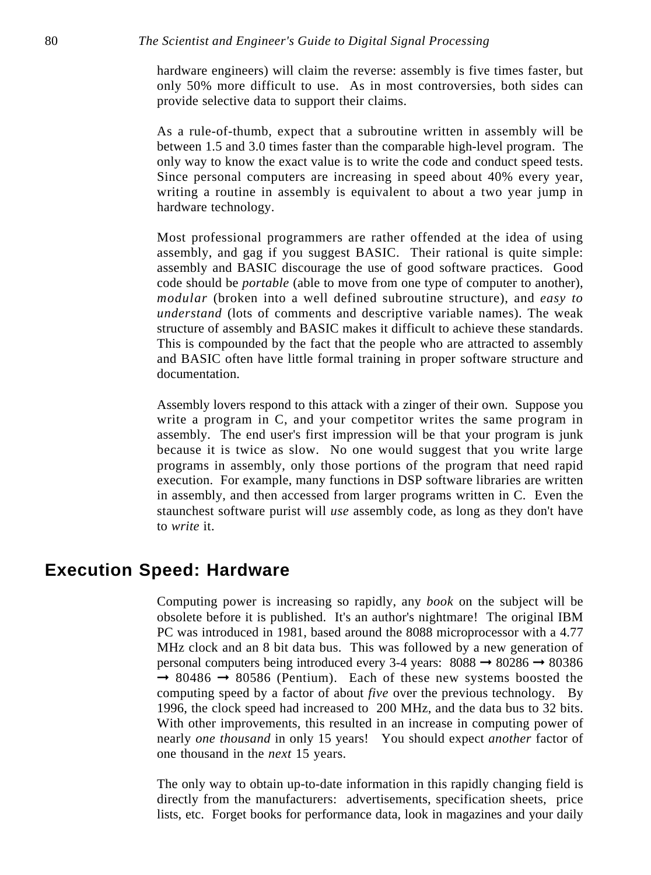hardware engineers) will claim the reverse: assembly is five times faster, but only 50% more difficult to use. As in most controversies, both sides can provide selective data to support their claims.

As a rule-of-thumb, expect that a subroutine written in assembly will be between 1.5 and 3.0 times faster than the comparable high-level program. The only way to know the exact value is to write the code and conduct speed tests. Since personal computers are increasing in speed about 40% every year, writing a routine in assembly is equivalent to about a two year jump in hardware technology.

Most professional programmers are rather offended at the idea of using assembly, and gag if you suggest BASIC. Their rational is quite simple: assembly and BASIC discourage the use of good software practices. Good code should be *portable* (able to move from one type of computer to another), *modular* (broken into a well defined subroutine structure), and *easy to understand* (lots of comments and descriptive variable names). The weak structure of assembly and BASIC makes it difficult to achieve these standards. This is compounded by the fact that the people who are attracted to assembly and BASIC often have little formal training in proper software structure and documentation.

Assembly lovers respond to this attack with a zinger of their own. Suppose you write a program in C, and your competitor writes the same program in assembly. The end user's first impression will be that your program is junk because it is twice as slow. No one would suggest that you write large programs in assembly, only those portions of the program that need rapid execution. For example, many functions in DSP software libraries are written in assembly, and then accessed from larger programs written in C. Even the staunchest software purist will *use* assembly code, as long as they don't have to *write* it.

## **Execution Speed: Hardware**

Computing power is increasing so rapidly, any *book* on the subject will be obsolete before it is published. It's an author's nightmare! The original IBM PC was introduced in 1981, based around the 8088 microprocessor with a 4.77 MHz clock and an 8 bit data bus. This was followed by a new generation of personal computers being introduced every 3-4 years:  $8088 \rightarrow 80286 \rightarrow 80386$  $\rightarrow$  80486  $\rightarrow$  80586 (Pentium). Each of these new systems boosted the computing speed by a factor of about *five* over the previous technology. By 1996, the clock speed had increased to 200 MHz, and the data bus to 32 bits. With other improvements, this resulted in an increase in computing power of nearly *one thousand* in only 15 years! You should expect *another* factor of one thousand in the *next* 15 years.

The only way to obtain up-to-date information in this rapidly changing field is directly from the manufacturers: advertisements, specification sheets, price lists, etc. Forget books for performance data, look in magazines and your daily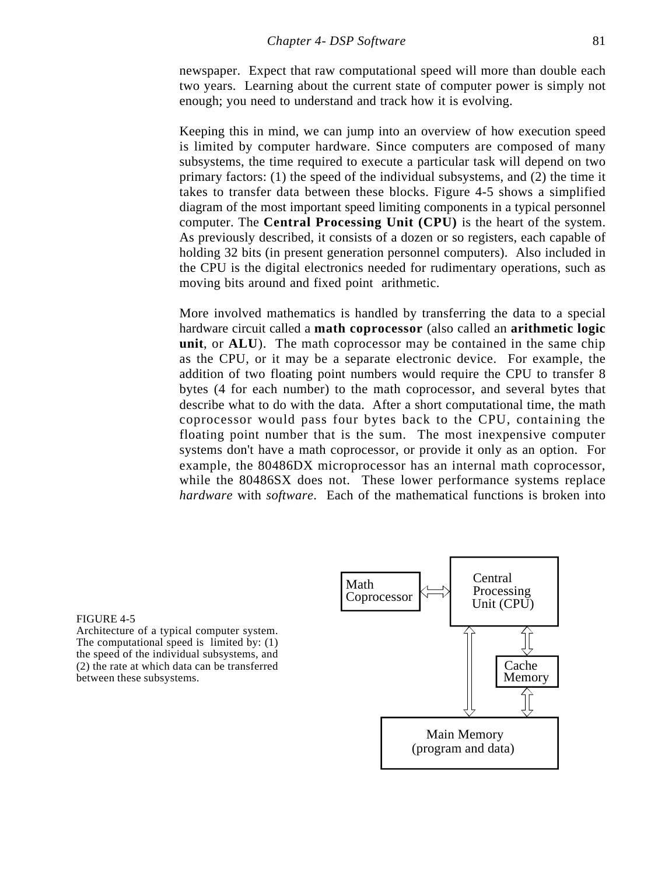newspaper. Expect that raw computational speed will more than double each two years. Learning about the current state of computer power is simply not enough; you need to understand and track how it is evolving.

Keeping this in mind, we can jump into an overview of how execution speed is limited by computer hardware. Since computers are composed of many subsystems, the time required to execute a particular task will depend on two primary factors: (1) the speed of the individual subsystems, and (2) the time it takes to transfer data between these blocks. Figure 4-5 shows a simplified diagram of the most important speed limiting components in a typical personnel computer. The **Central Processing Unit (CPU)** is the heart of the system. As previously described, it consists of a dozen or so registers, each capable of holding 32 bits (in present generation personnel computers). Also included in the CPU is the digital electronics needed for rudimentary operations, such as moving bits around and fixed point arithmetic.

More involved mathematics is handled by transferring the data to a special hardware circuit called a **math coprocessor** (also called an **arithmetic logic unit**, or **ALU**). The math coprocessor may be contained in the same chip as the CPU, or it may be a separate electronic device. For example, the addition of two floating point numbers would require the CPU to transfer 8 bytes (4 for each number) to the math coprocessor, and several bytes that describe what to do with the data. After a short computational time, the math coprocessor would pass four bytes back to the CPU, containing the floating point number that is the sum. The most inexpensive computer systems don't have a math coprocessor, or provide it only as an option. For example, the 80486DX microprocessor has an internal math coprocessor, while the 80486SX does not. These lower performance systems replace *hardware* with *software*. Each of the mathematical functions is broken into

#### FIGURE 4-5

Architecture of a typical computer system. The computational speed is limited by: (1) the speed of the individual subsystems, and (2) the rate at which data can be transferred between these subsystems.

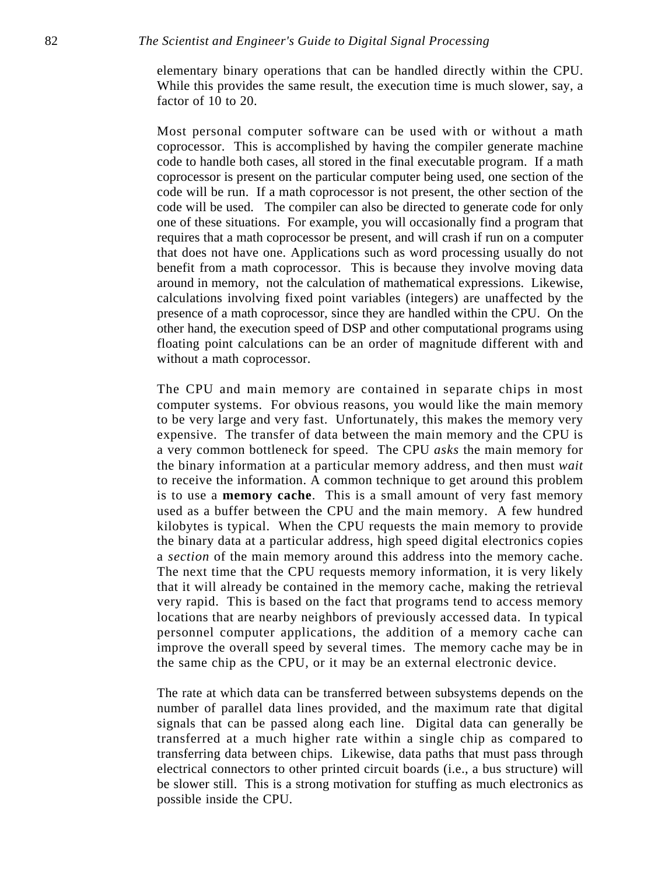elementary binary operations that can be handled directly within the CPU. While this provides the same result, the execution time is much slower, say, a factor of 10 to 20.

Most personal computer software can be used with or without a math coprocessor. This is accomplished by having the compiler generate machine code to handle both cases, all stored in the final executable program. If a math coprocessor is present on the particular computer being used, one section of the code will be run. If a math coprocessor is not present, the other section of the code will be used. The compiler can also be directed to generate code for only one of these situations. For example, you will occasionally find a program that requires that a math coprocessor be present, and will crash if run on a computer that does not have one. Applications such as word processing usually do not benefit from a math coprocessor. This is because they involve moving data around in memory, not the calculation of mathematical expressions. Likewise, calculations involving fixed point variables (integers) are unaffected by the presence of a math coprocessor, since they are handled within the CPU. On the other hand, the execution speed of DSP and other computational programs using floating point calculations can be an order of magnitude different with and without a math coprocessor.

The CPU and main memory are contained in separate chips in most computer systems. For obvious reasons, you would like the main memory to be very large and very fast. Unfortunately, this makes the memory very expensive. The transfer of data between the main memory and the CPU is a very common bottleneck for speed. The CPU *asks* the main memory for the binary information at a particular memory address, and then must *wait* to receive the information. A common technique to get around this problem is to use a **memory cache**. This is a small amount of very fast memory used as a buffer between the CPU and the main memory. A few hundred kilobytes is typical. When the CPU requests the main memory to provide the binary data at a particular address, high speed digital electronics copies a *section* of the main memory around this address into the memory cache. The next time that the CPU requests memory information, it is very likely that it will already be contained in the memory cache, making the retrieval very rapid. This is based on the fact that programs tend to access memory locations that are nearby neighbors of previously accessed data. In typical personnel computer applications, the addition of a memory cache can improve the overall speed by several times. The memory cache may be in the same chip as the CPU, or it may be an external electronic device.

The rate at which data can be transferred between subsystems depends on the number of parallel data lines provided, and the maximum rate that digital signals that can be passed along each line. Digital data can generally be transferred at a much higher rate within a single chip as compared to transferring data between chips. Likewise, data paths that must pass through electrical connectors to other printed circuit boards (i.e., a bus structure) will be slower still. This is a strong motivation for stuffing as much electronics as possible inside the CPU.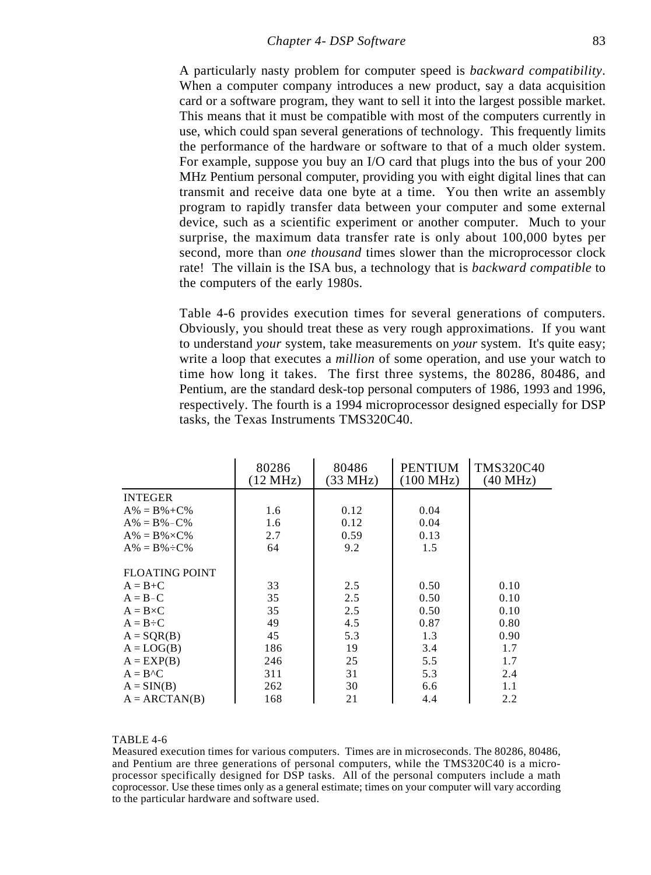A particularly nasty problem for computer speed is *backward compatibility*. When a computer company introduces a new product, say a data acquisition card or a software program, they want to sell it into the largest possible market. This means that it must be compatible with most of the computers currently in use, which could span several generations of technology. This frequently limits the performance of the hardware or software to that of a much older system. For example, suppose you buy an I/O card that plugs into the bus of your 200 MHz Pentium personal computer, providing you with eight digital lines that can transmit and receive data one byte at a time. You then write an assembly program to rapidly transfer data between your computer and some external device, such as a scientific experiment or another computer. Much to your surprise, the maximum data transfer rate is only about 100,000 bytes per second, more than *one thousand* times slower than the microprocessor clock rate! The villain is the ISA bus, a technology that is *backward compatible* to the computers of the early 1980s.

Table 4-6 provides execution times for several generations of computers. Obviously, you should treat these as very rough approximations. If you want to understand *your* system, take measurements on *your* system. It's quite easy; write a loop that executes a *million* of some operation, and use your watch to time how long it takes. The first three systems, the 80286, 80486, and Pentium, are the standard desk-top personal computers of 1986, 1993 and 1996, respectively. The fourth is a 1994 microprocessor designed especially for DSP tasks, the Texas Instruments TMS320C40.

|                        | 80286<br>(12 MHz) | 80486<br>(33 MHz) | <b>PENTIUM</b><br>(100 MHz) | TMS320C40<br>(40 MHz) |
|------------------------|-------------------|-------------------|-----------------------------|-----------------------|
| <b>INTEGER</b>         |                   |                   |                             |                       |
| $A\% = B\% + C\%$      | 1.6               | 0.12              | 0.04                        |                       |
| $A\% = B\% - C\%$      | 1.6               | 0.12              | 0.04                        |                       |
| $A\% = B\% \times C\%$ | 2.7               | 0.59              | 0.13                        |                       |
| $A\% = B\% \div C\%$   | 64                | 9.2               | 1.5                         |                       |
| <b>FLOATING POINT</b>  |                   |                   |                             |                       |
| $A = B + C$            | 33                | 2.5               | 0.50                        | 0.10                  |
| $A = B - C$            | 35                | 2.5               | 0.50                        | 0.10                  |
| $A = B \times C$       | 35                | 2.5               | 0.50                        | 0.10                  |
| $A = B \div C$         | 49                | 4.5               | 0.87                        | 0.80                  |
| $A = SQR(B)$           | 45                | 5.3               | 1.3                         | 0.90                  |
| $A = LOG(B)$           | 186               | 19                | 3.4                         | 1.7                   |
| $A = EXP(B)$           | 246               | 25                | 5.5                         | 1.7                   |
| $A = B^{\wedge}C$      | 311               | 31                | 5.3                         | 2.4                   |
| $A = SIN(B)$           | 262               | 30                | 6.6                         | 1.1                   |
| $A = ARCHN(B)$         | 168               | 21                | 4.4                         | 2.2                   |

#### TABLE 4-6

Measured execution times for various computers. Times are in microseconds. The 80286, 80486, and Pentium are three generations of personal computers, while the TMS320C40 is a microprocessor specifically designed for DSP tasks. All of the personal computers include a math coprocessor. Use these times only as a general estimate; times on your computer will vary according to the particular hardware and software used.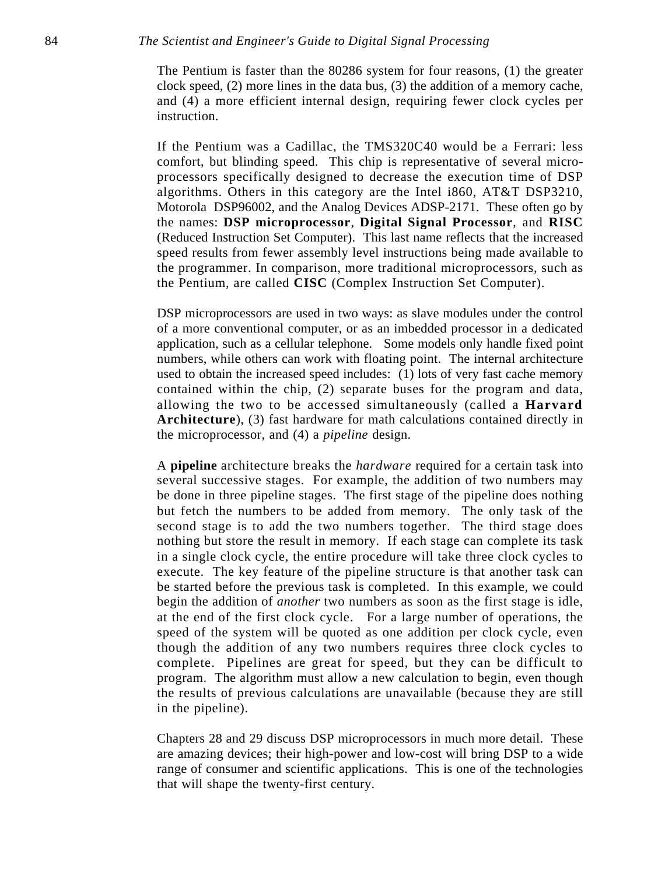The Pentium is faster than the 80286 system for four reasons, (1) the greater clock speed, (2) more lines in the data bus, (3) the addition of a memory cache, and (4) a more efficient internal design, requiring fewer clock cycles per instruction.

If the Pentium was a Cadillac, the TMS320C40 would be a Ferrari: less comfort, but blinding speed. This chip is representative of several microprocessors specifically designed to decrease the execution time of DSP algorithms. Others in this category are the Intel i860, AT&T DSP3210, Motorola DSP96002, and the Analog Devices ADSP-2171. These often go by the names: **DSP microprocessor**, **Digital Signal Processor**, and **RISC** (Reduced Instruction Set Computer). This last name reflects that the increased speed results from fewer assembly level instructions being made available to the programmer. In comparison, more traditional microprocessors, such as the Pentium, are called **CISC** (Complex Instruction Set Computer).

DSP microprocessors are used in two ways: as slave modules under the control of a more conventional computer, or as an imbedded processor in a dedicated application, such as a cellular telephone. Some models only handle fixed point numbers, while others can work with floating point. The internal architecture used to obtain the increased speed includes: (1) lots of very fast cache memory contained within the chip, (2) separate buses for the program and data, allowing the two to be accessed simultaneously (called a **Harvard Architecture**), (3) fast hardware for math calculations contained directly in the microprocessor, and (4) a *pipeline* design.

A **pipeline** architecture breaks the *hardware* required for a certain task into several successive stages. For example, the addition of two numbers may be done in three pipeline stages. The first stage of the pipeline does nothing but fetch the numbers to be added from memory. The only task of the second stage is to add the two numbers together. The third stage does nothing but store the result in memory. If each stage can complete its task in a single clock cycle, the entire procedure will take three clock cycles to execute. The key feature of the pipeline structure is that another task can be started before the previous task is completed. In this example, we could begin the addition of *another* two numbers as soon as the first stage is idle, at the end of the first clock cycle. For a large number of operations, the speed of the system will be quoted as one addition per clock cycle, even though the addition of any two numbers requires three clock cycles to complete. Pipelines are great for speed, but they can be difficult to program. The algorithm must allow a new calculation to begin, even though the results of previous calculations are unavailable (because they are still in the pipeline).

Chapters 28 and 29 discuss DSP microprocessors in much more detail. These are amazing devices; their high-power and low-cost will bring DSP to a wide range of consumer and scientific applications. This is one of the technologies that will shape the twenty-first century.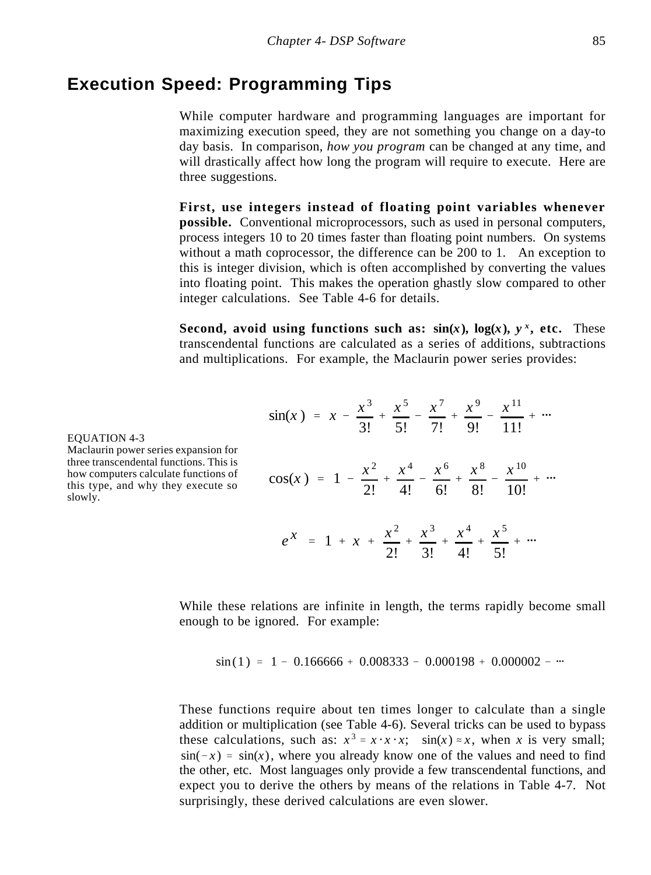## **Execution Speed: Programming Tips**

EQUATION 4-3

slowly.

Maclaurin power series expansion for three transcendental functions. This is how computers calculate functions of this type, and why they execute so

While computer hardware and programming languages are important for maximizing execution speed, they are not something you change on a day-to day basis. In comparison, *how you program* can be changed at any time, and will drastically affect how long the program will require to execute. Here are three suggestions.

**First, use integers instead of floating point variables whenever possible.** Conventional microprocessors, such as used in personal computers, process integers 10 to 20 times faster than floating point numbers. On systems without a math coprocessor, the difference can be 200 to 1. An exception to this is integer division, which is often accomplished by converting the values into floating point. This makes the operation ghastly slow compared to other integer calculations. See Table 4-6 for details.

**Second, avoid using functions such as:**  $\sin(x)$ **,**  $\log(x)$ **,**  $y^x$ **, etc.** These transcendental functions are calculated as a series of additions, subtractions and multiplications. For example, the Maclaurin power series provides:

$$
\sin(x) = x - \frac{x^3}{3!} + \frac{x^5}{5!} - \frac{x^7}{7!} + \frac{x^9}{9!} - \frac{x^{11}}{11!} + \cdots
$$

$$
\cos(x) = 1 - \frac{x^2}{2!} + \frac{x^4}{4!} - \frac{x^6}{6!} + \frac{x^8}{8!} - \frac{x^{10}}{10!} + \cdots
$$

$$
e^x = 1 + x + \frac{x^2}{2!} + \frac{x^3}{3!} + \frac{x^4}{4!} + \frac{x^5}{5!} + \cdots
$$

While these relations are infinite in length, the terms rapidly become small enough to be ignored. For example:

$$
\sin(1) = 1 - 0.166666 + 0.008333 - 0.000198 + 0.000002 - \cdots
$$

These functions require about ten times longer to calculate than a single addition or multiplication (see Table 4-6). Several tricks can be used to bypass these calculations, such as:  $x^3 = x \cdot x \cdot x$ ;  $\sin(x) \approx x$ , when *x* is very small;  $sin(-x) = sin(x)$ , where you already know one of the values and need to find the other, etc. Most languages only provide a few transcendental functions, and expect you to derive the others by means of the relations in Table 4-7. Not surprisingly, these derived calculations are even slower.